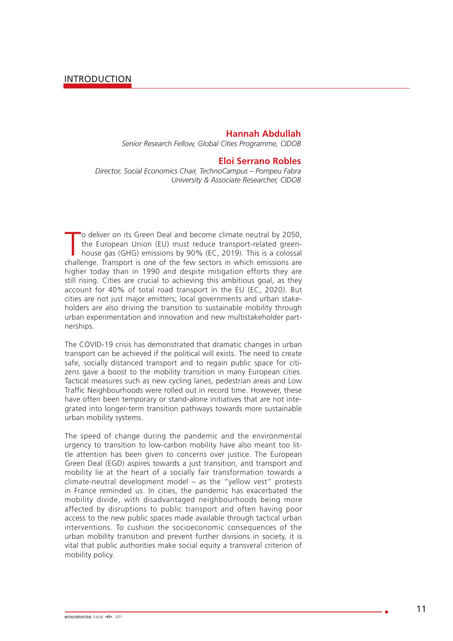### **Hannah Abdullah**

*Senior Research Fellow, Global Cities Programme, CIDOB*

#### **Eloi Serrano Robles**

*Director, Social Economics Chair, TechnoCampus – Pompeu Fabra University & Associate Researcher, CIDOB*

The deliver on its Green Deal and become climate neutral by 2050, the European Union (EU) must reduce transport-related greenhouse gas (GHG) emissions by 90% (EC, 2019). This is a colossal challenge. Transport is one of th o deliver on its Green Deal and become climate neutral by 2050, the European Union (EU) must reduce transport-related greenhouse gas (GHG) emissions by 90% (EC, 2019). This is a colossal higher today than in 1990 and despite mitigation efforts they are still rising. Cities are crucial to achieving this ambitious goal, as they account for 40% of total road transport in the EU (EC, 2020). But cities are not just major emitters; local governments and urban stakeholders are also driving the transition to sustainable mobility through urban experimentation and innovation and new multistakeholder partnerships.

The COVID-19 crisis has demonstrated that dramatic changes in urban transport can be achieved if the political will exists. The need to create safe, socially distanced transport and to regain public space for citizens gave a boost to the mobility transition in many European cities. Tactical measures such as new cycling lanes, pedestrian areas and Low Traffic Neighbourhoods were rolled out in record time. However, these have often been temporary or stand-alone initiatives that are not integrated into longer-term transition pathways towards more sustainable urban mobility systems.

The speed of change during the pandemic and the environmental urgency to transition to low-carbon mobility have also meant too little attention has been given to concerns over justice. The European Green Deal (EGD) aspires towards a just transition, and transport and mobility lie at the heart of a socially fair transformation towards a climate-neutral development model – as the "yellow vest" protests in France reminded us. In cities, the pandemic has exacerbated the mobility divide, with disadvantaged neighbourhoods being more affected by disruptions to public transport and often having poor access to the new public spaces made available through tactical urban interventions. To cushion the socioeconomic consequences of the urban mobility transition and prevent further divisions in society, it is vital that public authorities make social equity a transveral criterion of mobility policy.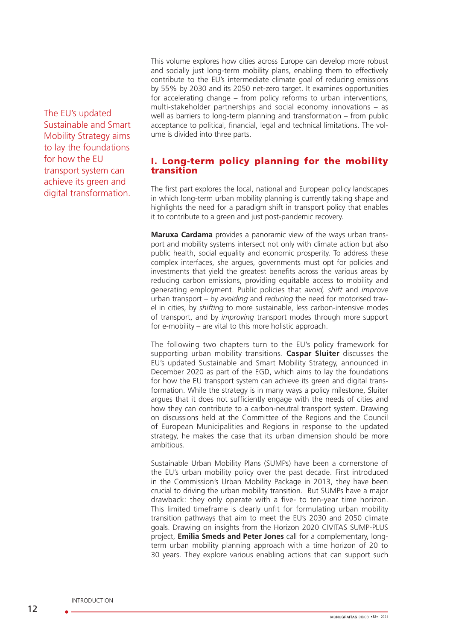The EU's updated Sustainable and Smart Mobility Strategy aims to lay the foundations for how the EU transport system can achieve its green and digital transformation.

This volume explores how cities across Europe can develop more robust and socially just long-term mobility plans, enabling them to effectively contribute to the EU's intermediate climate goal of reducing emissions by 55% by 2030 and its 2050 net-zero target. It examines opportunities for accelerating change – from policy reforms to urban interventions, multi-stakeholder partnerships and social economy innovations – as well as barriers to long-term planning and transformation – from public acceptance to political, financial, legal and technical limitations. The volume is divided into three parts.

## I. Long-term policy planning for the mobility transition

The first part explores the local, national and European policy landscapes in which long-term urban mobility planning is currently taking shape and highlights the need for a paradigm shift in transport policy that enables it to contribute to a green and just post-pandemic recovery.

**Maruxa Cardama** provides a panoramic view of the ways urban transport and mobility systems intersect not only with climate action but also public health, social equality and economic prosperity. To address these complex interfaces, she argues, governments must opt for policies and investments that yield the greatest benefits across the various areas by reducing carbon emissions, providing equitable access to mobility and generating employment. Public policies that *avoid, shift* and *improve* urban transport – by *avoiding* and *reducing* the need for motorised travel in cities, by *shifting* to more sustainable, less carbon-intensive modes of transport, and by *improving* transport modes through more support for e-mobility – are vital to this more holistic approach.

The following two chapters turn to the EU's policy framework for supporting urban mobility transitions. **Caspar Sluiter** discusses the EU's updated Sustainable and Smart Mobility Strategy, announced in December 2020 as part of the EGD, which aims to lay the foundations for how the EU transport system can achieve its green and digital transformation. While the strategy is in many ways a policy milestone, Sluiter argues that it does not sufficiently engage with the needs of cities and how they can contribute to a carbon-neutral transport system. Drawing on discussions held at the Committee of the Regions and the Council of European Municipalities and Regions in response to the updated strategy, he makes the case that its urban dimension should be more ambitious.

Sustainable Urban Mobility Plans (SUMPs) have been a cornerstone of the EU's urban mobility policy over the past decade. First introduced in the Commission's Urban Mobility Package in 2013, they have been crucial to driving the urban mobility transition. But SUMPs have a major drawback: they only operate with a five- to ten-year time horizon. This limited timeframe is clearly unfit for formulating urban mobility transition pathways that aim to meet the EU's 2030 and 2050 climate goals. Drawing on insights from the Horizon 2020 CIVITAS SUMP-PLUS project, **Emilia Smeds and Peter Jones** call for a complementary, longterm urban mobility planning approach with a time horizon of 20 to 30 years. They explore various enabling actions that can support such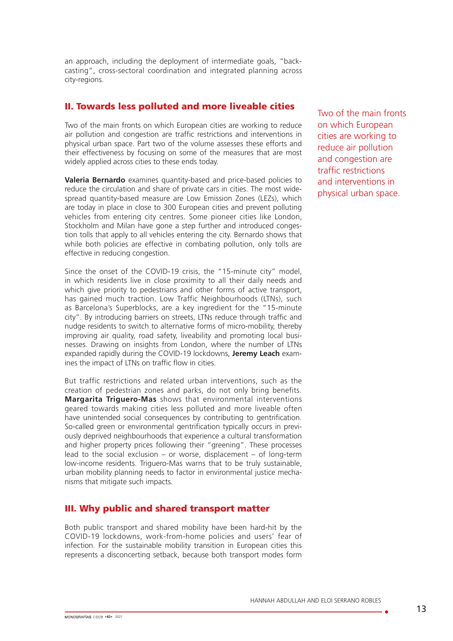an approach, including the deployment of intermediate goals, "backcasting", cross-sectoral coordination and integrated planning across city-regions.

# II. Towards less polluted and more liveable cities

Two of the main fronts on which European cities are working to reduce air pollution and congestion are traffic restrictions and interventions in physical urban space. Part two of the volume assesses these efforts and their effectiveness by focusing on some of the measures that are most widely applied across cities to these ends today.

**Valeria Bernardo** examines quantity-based and price-based policies to reduce the circulation and share of private cars in cities. The most widespread quantity-based measure are Low Emission Zones (LEZs), which are today in place in close to 300 European cities and prevent polluting vehicles from entering city centres. Some pioneer cities like London, Stockholm and Milan have gone a step further and introduced congestion tolls that apply to all vehicles entering the city. Bernardo shows that while both policies are effective in combating pollution, only tolls are effective in reducing congestion.

Since the onset of the COVID-19 crisis, the "15-minute city" model, in which residents live in close proximity to all their daily needs and which give priority to pedestrians and other forms of active transport, has gained much traction. Low Traffic Neighbourhoods (LTNs), such as Barcelona's Superblocks, are a key ingredient for the "15-minute city". By introducing barriers on streets, LTNs reduce through traffic and nudge residents to switch to alternative forms of micro-mobility, thereby improving air quality, road safety, liveability and promoting local businesses. Drawing on insights from London, where the number of LTNs expanded rapidly during the COVID-19 lockdowns, **Jeremy Leach** examines the impact of LTNs on traffic flow in cities.

But traffic restrictions and related urban interventions, such as the creation of pedestrian zones and parks, do not only bring benefits. **Margarita Triguero-Mas** shows that environmental interventions geared towards making cities less polluted and more liveable often have unintended social consequences by contributing to gentrification. So-called green or environmental gentrification typically occurs in previously deprived neighbourhoods that experience a cultural transformation and higher property prices following their "greening". These processes lead to the social exclusion – or worse, displacement – of long-term low-income residents. Triguero-Mas warns that to be truly sustainable. urban mobility planning needs to factor in environmental justice mechanisms that mitigate such impacts.

# III. Why public and shared transport matter

Both public transport and shared mobility have been hard-hit by the COVID-19 lockdowns, work-from-home policies and users' fear of infection. For the sustainable mobility transition in European cities this represents a disconcerting setback, because both transport modes form

Two of the main fronts on which European cities are working to reduce air pollution and congestion are traffic restrictions and interventions in physical urban space.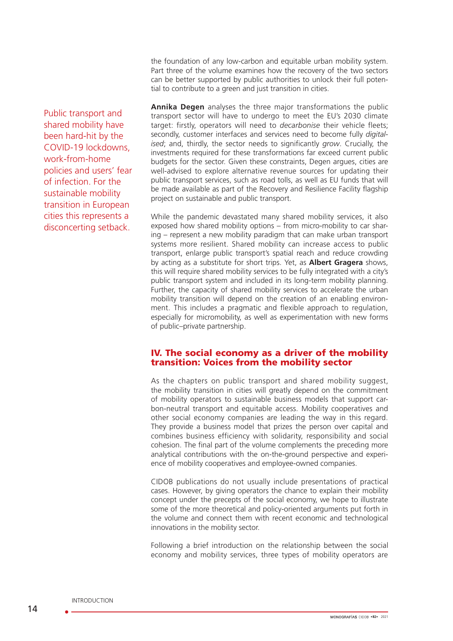the foundation of any low-carbon and equitable urban mobility system. Part three of the volume examines how the recovery of the two sectors can be better supported by public authorities to unlock their full potential to contribute to a green and just transition in cities.

**Annika Degen** analyses the three major transformations the public transport sector will have to undergo to meet the EU's 2030 climate target: firstly, operators will need to *decarbonise* their vehicle fleets; secondly, customer interfaces and services need to become fully *digitalised*; and, thirdly, the sector needs to significantly *grow*. Crucially, the investments required for these transformations far exceed current public budgets for the sector. Given these constraints, Degen argues, cities are well-advised to explore alternative revenue sources for updating their public transport services, such as road tolls, as well as EU funds that will be made available as part of the Recovery and Resilience Facility flagship project on sustainable and public transport.

While the pandemic devastated many shared mobility services, it also exposed how shared mobility options – from micro-mobility to car sharing – represent a new mobility paradigm that can make urban transport systems more resilient. Shared mobility can increase access to public transport, enlarge public transport's spatial reach and reduce crowding by acting as a substitute for short trips. Yet, as **Albert Gragera** shows, this will require shared mobility services to be fully integrated with a city's public transport system and included in its long-term mobility planning. Further, the capacity of shared mobility services to accelerate the urban mobility transition will depend on the creation of an enabling environment. This includes a pragmatic and flexible approach to regulation, especially for micromobility, as well as experimentation with new forms of public–private partnership.

## IV. The social economy as a driver of the mobility transition: Voices from the mobility sector

As the chapters on public transport and shared mobility suggest, the mobility transition in cities will greatly depend on the commitment of mobility operators to sustainable business models that support carbon-neutral transport and equitable access. Mobility cooperatives and other social economy companies are leading the way in this regard. They provide a business model that prizes the person over capital and combines business efficiency with solidarity, responsibility and social cohesion. The final part of the volume complements the preceding more analytical contributions with the on-the-ground perspective and experience of mobility cooperatives and employee-owned companies.

CIDOB publications do not usually include presentations of practical cases. However, by giving operators the chance to explain their mobility concept under the precepts of the social economy, we hope to illustrate some of the more theoretical and policy-oriented arguments put forth in the volume and connect them with recent economic and technological innovations in the mobility sector.

Following a brief introduction on the relationship between the social economy and mobility services, three types of mobility operators are

Public transport and shared mobility have been hard-hit by the COVID-19 lockdowns, work-from-home policies and users' fear of infection. For the sustainable mobility transition in European cities this represents a disconcerting setback.